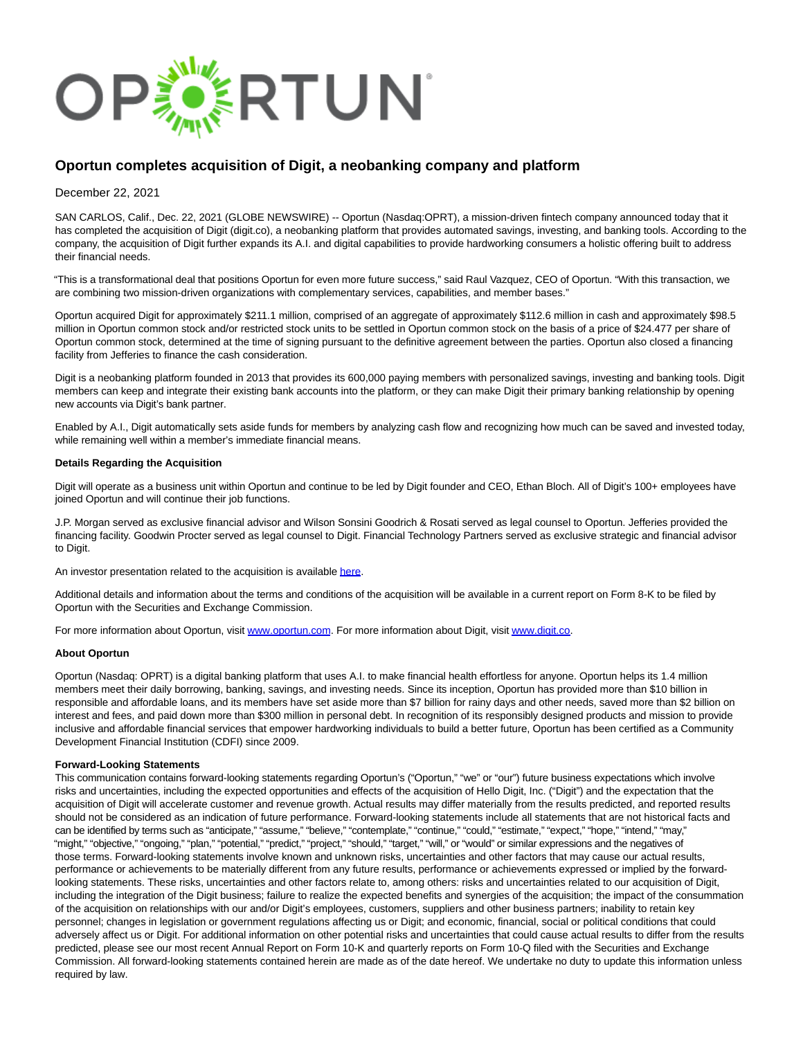

## **Oportun completes acquisition of Digit, a neobanking company and platform**

December 22, 2021

SAN CARLOS, Calif., Dec. 22, 2021 (GLOBE NEWSWIRE) -- Oportun (Nasdaq:OPRT), a mission-driven fintech company announced today that it has completed the acquisition of Digit (digit.co), a neobanking platform that provides automated savings, investing, and banking tools. According to the company, the acquisition of Digit further expands its A.I. and digital capabilities to provide hardworking consumers a holistic offering built to address their financial needs.

"This is a transformational deal that positions Oportun for even more future success," said Raul Vazquez, CEO of Oportun. "With this transaction, we are combining two mission-driven organizations with complementary services, capabilities, and member bases."

Oportun acquired Digit for approximately \$211.1 million, comprised of an aggregate of approximately \$112.6 million in cash and approximately \$98.5 million in Oportun common stock and/or restricted stock units to be settled in Oportun common stock on the basis of a price of \$24.477 per share of Oportun common stock, determined at the time of signing pursuant to the definitive agreement between the parties. Oportun also closed a financing facility from Jefferies to finance the cash consideration.

Digit is a neobanking platform founded in 2013 that provides its 600,000 paying members with personalized savings, investing and banking tools. Digit members can keep and integrate their existing bank accounts into the platform, or they can make Digit their primary banking relationship by opening new accounts via Digit's bank partner.

Enabled by A.I., Digit automatically sets aside funds for members by analyzing cash flow and recognizing how much can be saved and invested today, while remaining well within a member's immediate financial means.

## **Details Regarding the Acquisition**

Digit will operate as a business unit within Oportun and continue to be led by Digit founder and CEO, Ethan Bloch. All of Digit's 100+ employees have joined Oportun and will continue their job functions.

J.P. Morgan served as exclusive financial advisor and Wilson Sonsini Goodrich & Rosati served as legal counsel to Oportun. Jefferies provided the financing facility. Goodwin Procter served as legal counsel to Digit. Financial Technology Partners served as exclusive strategic and financial advisor to Digit.

An investor presentation related to the acquisition is availabl[e here.](https://www.globenewswire.com/Tracker?data=vJyo2PrsIWNV59x6He2-VYS95hmps3bnPAW8JY1Y4XDl4da_0YPgfs-NQ3aiSKBOjOLHWbPA1xg6ElrQesybHgHYtdGjlL2IwATMjdDkeSqPfwdDFwXUtIghl5F_-LiWJ01oSqVm7SUal6PPOz6WEg==)

Additional details and information about the terms and conditions of the acquisition will be available in a current report on Form 8-K to be filed by Oportun with the Securities and Exchange Commission.

For more information about Oportun, visit [www.oportun.com.](https://www.globenewswire.com/Tracker?data=CRtnbG6ishuqNOARC_LphkXXB96zJFgIfn5ikVaFoBHR-Gh0mc2fKgqHopnWhZ92fFlG6h8bbEb_N8Uo7dSm5A==) For more information about Digit, visi[t www.digit.co.](https://www.globenewswire.com/Tracker?data=_y8F9b5LECWUj-avEyyBZSYsm_78c4mRkrgj9n6vBkLqqODC2EAo7ainQP5iPtqnVDpyBPlLz7eg1X86a22cew==)

## **About Oportun**

Oportun (Nasdaq: OPRT) is a digital banking platform that uses A.I. to make financial health effortless for anyone. Oportun helps its 1.4 million members meet their daily borrowing, banking, savings, and investing needs. Since its inception, Oportun has provided more than \$10 billion in responsible and affordable loans, and its members have set aside more than \$7 billion for rainy days and other needs, saved more than \$2 billion on interest and fees, and paid down more than \$300 million in personal debt. In recognition of its responsibly designed products and mission to provide inclusive and affordable financial services that empower hardworking individuals to build a better future, Oportun has been certified as a Community Development Financial Institution (CDFI) since 2009.

## **Forward-Looking Statements**

This communication contains forward-looking statements regarding Oportun's ("Oportun," "we" or "our") future business expectations which involve risks and uncertainties, including the expected opportunities and effects of the acquisition of Hello Digit, Inc. ("Digit") and the expectation that the acquisition of Digit will accelerate customer and revenue growth. Actual results may differ materially from the results predicted, and reported results should not be considered as an indication of future performance. Forward-looking statements include all statements that are not historical facts and can be identified by terms such as "anticipate," "assume," "believe," "contemplate," "continue," "could," "estimate," "expect," "hope," "intend," "may," "might," "objective," "ongoing," "plan," "potential," "predict," "project," "should," "target," "will," or "would" or similar expressions and the negatives of those terms. Forward-looking statements involve known and unknown risks, uncertainties and other factors that may cause our actual results, performance or achievements to be materially different from any future results, performance or achievements expressed or implied by the forwardlooking statements. These risks, uncertainties and other factors relate to, among others: risks and uncertainties related to our acquisition of Digit, including the integration of the Digit business; failure to realize the expected benefits and synergies of the acquisition; the impact of the consummation of the acquisition on relationships with our and/or Digit's employees, customers, suppliers and other business partners; inability to retain key personnel; changes in legislation or government regulations affecting us or Digit; and economic, financial, social or political conditions that could adversely affect us or Digit. For additional information on other potential risks and uncertainties that could cause actual results to differ from the results predicted, please see our most recent Annual Report on Form 10-K and quarterly reports on Form 10-Q filed with the Securities and Exchange Commission. All forward-looking statements contained herein are made as of the date hereof. We undertake no duty to update this information unless required by law.